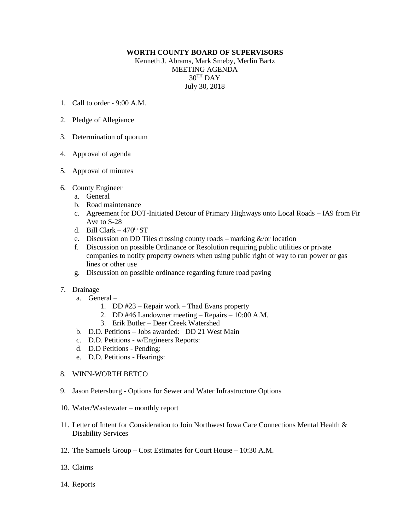## **WORTH COUNTY BOARD OF SUPERVISORS**

Kenneth J. Abrams, Mark Smeby, Merlin Bartz MEETING AGENDA  $30<sup>TH</sup>$  DAY July 30, 2018

- 1. Call to order 9:00 A.M.
- 2. Pledge of Allegiance
- 3. Determination of quorum
- 4. Approval of agenda
- 5. Approval of minutes
- 6. County Engineer
	- a. General
	- b. Road maintenance
	- c. Agreement for DOT-Initiated Detour of Primary Highways onto Local Roads IA9 from Fir Ave to S-28
	- d. Bill Clark  $470<sup>th</sup> ST$
	- e. Discussion on DD Tiles crossing county roads marking  $\&$ /or location
	- f. Discussion on possible Ordinance or Resolution requiring public utilities or private companies to notify property owners when using public right of way to run power or gas lines or other use
	- g. Discussion on possible ordinance regarding future road paving
- 7. Drainage
	- a. General
		- 1. DD #23 Repair work Thad Evans property
		- 2. DD #46 Landowner meeting Repairs 10:00 A.M.
		- 3. Erik Butler Deer Creek Watershed
	- b. D.D. Petitions Jobs awarded: DD 21 West Main
	- c. D.D. Petitions w/Engineers Reports:
	- d. D.D Petitions Pending:
	- e. D.D. Petitions Hearings:
- 8. WINN-WORTH BETCO
- 9. Jason Petersburg Options for Sewer and Water Infrastructure Options
- 10. Water/Wastewater monthly report
- 11. Letter of Intent for Consideration to Join Northwest Iowa Care Connections Mental Health & Disability Services
- 12. The Samuels Group Cost Estimates for Court House 10:30 A.M.
- 13. Claims
- 14. Reports